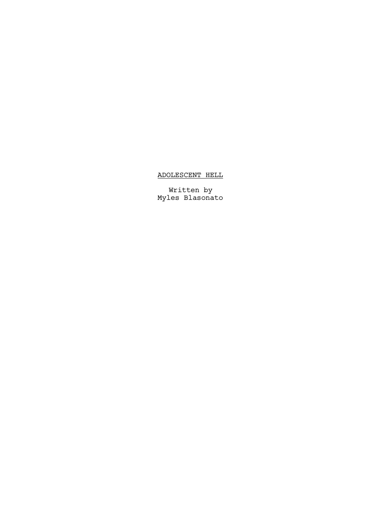## ADOLESCENT HELL

Written by Myles Blasonato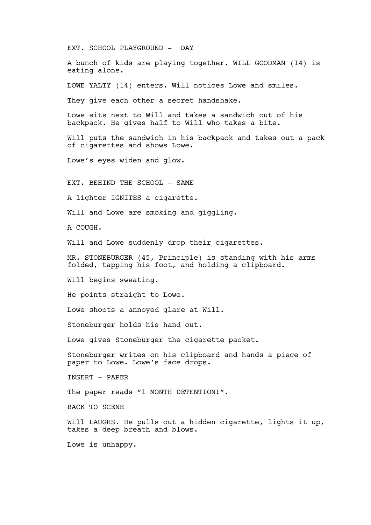EXT. SCHOOL PLAYGROUND - DAY

A bunch of kids are playing together. WILL GOODMAN (14) is eating alone.

LOWE YALTY (14) enters. Will notices Lowe and smiles.

They give each other a secret handshake.

Lowe sits next to Will and takes a sandwich out of his backpack. He gives half to Will who takes a bite.

Will puts the sandwich in his backpack and takes out a pack of cigarettes and shows Lowe.

Lowe's eyes widen and glow.

EXT. BEHIND THE SCHOOL - SAME

A lighter IGNITES a cigarette.

Will and Lowe are smoking and giggling.

A COUGH.

Will and Lowe suddenly drop their cigarettes.

MR. STONEBURGER (45, Principle) is standing with his arms folded, tapping his foot, and holding a clipboard.

Will begins sweating.

He points straight to Lowe.

Lowe shoots a annoyed glare at Will.

Stoneburger holds his hand out.

Lowe gives Stoneburger the cigarette packet.

Stoneburger writes on his clipboard and hands a piece of paper to Lowe. Lowe's face drops.

INSERT - PAPER

The paper reads "1 MONTH DETENTION!".

BACK TO SCENE

Will LAUGHS. He pulls out a hidden cigarette, lights it up, takes a deep breath and blows.

Lowe is unhappy.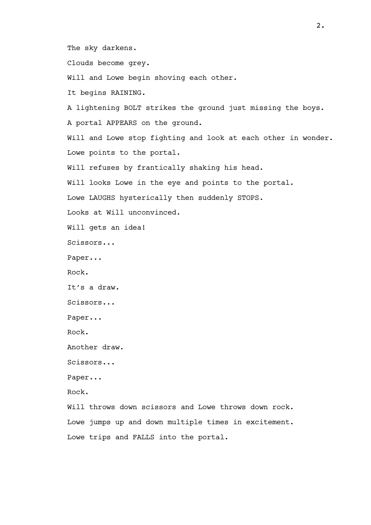The sky darkens.

Clouds become grey.

Will and Lowe begin shoving each other.

It begins RAINING.

A lightening BOLT strikes the ground just missing the boys.

A portal APPEARS on the ground.

Will and Lowe stop fighting and look at each other in wonder. Lowe points to the portal.

Will refuses by frantically shaking his head.

Will looks Lowe in the eye and points to the portal.

Lowe LAUGHS hysterically then suddenly STOPS.

Looks at Will unconvinced.

Will gets an idea!

Scissors...

Paper...

Rock.

It's a draw.

Scissors...

Paper...

Rock.

Another draw.

Scissors...

Paper...

Rock.

Will throws down scissors and Lowe throws down rock. Lowe jumps up and down multiple times in excitement. Lowe trips and FALLS into the portal.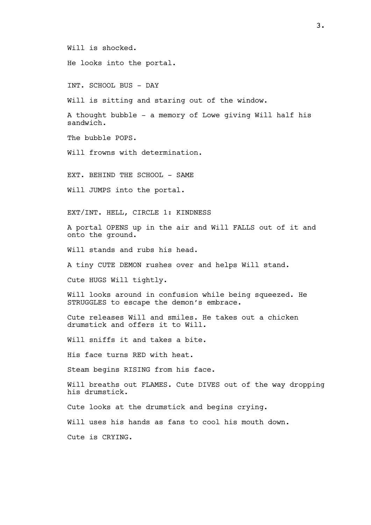Will is shocked.

He looks into the portal.

INT. SCHOOL BUS - DAY

Will is sitting and staring out of the window.

A thought bubble - a memory of Lowe giving Will half his sandwich.

The bubble POPS.

Will frowns with determination.

EXT. BEHIND THE SCHOOL - SAME

Will JUMPS into the portal.

EXT/INT. HELL, CIRCLE 1: KINDNESS

A portal OPENS up in the air and Will FALLS out of it and onto the ground.

Will stands and rubs his head.

A tiny CUTE DEMON rushes over and helps Will stand.

Cute HUGS Will tightly.

Will looks around in confusion while being squeezed. He STRUGGLES to escape the demon's embrace.

Cute releases Will and smiles. He takes out a chicken drumstick and offers it to Will.

Will sniffs it and takes a bite.

His face turns RED with heat.

Steam begins RISING from his face.

Will breaths out FLAMES. Cute DIVES out of the way dropping his drumstick.

Cute looks at the drumstick and begins crying.

Will uses his hands as fans to cool his mouth down.

Cute is CRYING.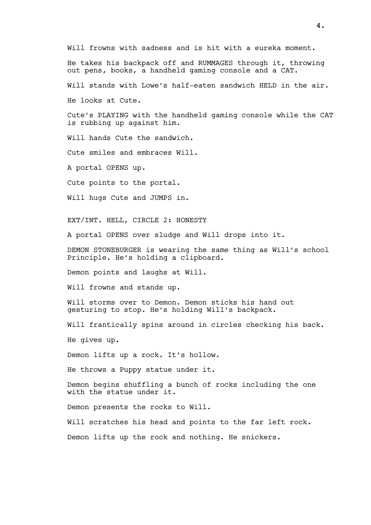Will frowns with sadness and is hit with a eureka moment.

He takes his backpack off and RUMMAGES through it, throwing out pens, books, a handheld gaming console and a CAT.

Will stands with Lowe's half-eaten sandwich HELD in the air.

He looks at Cute.

Cute's PLAYING with the handheld gaming console while the CAT is rubbing up against him.

Will hands Cute the sandwich.

Cute smiles and embraces Will.

A portal OPENS up.

Cute points to the portal.

Will hugs Cute and JUMPS in.

EXT/INT. HELL, CIRCLE 2: HONESTY

A portal OPENS over sludge and Will drops into it.

DEMON STONEBURGER is wearing the same thing as Will's school Principle. He's holding a clipboard.

Demon points and laughs at Will.

Will frowns and stands up.

Will storms over to Demon. Demon sticks his hand out gesturing to stop. He's holding Will's backpack.

Will frantically spins around in circles checking his back.

He gives up.

Demon lifts up a rock. It's hollow.

He throws a Puppy statue under it.

Demon begins shuffling a bunch of rocks including the one with the statue under it.

Demon presents the rocks to Will.

Will scratches his head and points to the far left rock.

Demon lifts up the rock and nothing. He snickers.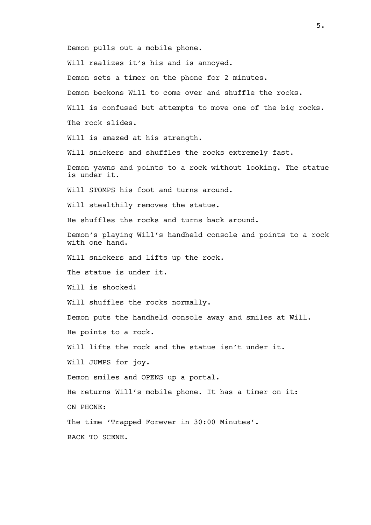Demon pulls out a mobile phone.

Will realizes it's his and is annoyed.

Demon sets a timer on the phone for 2 minutes.

Demon beckons Will to come over and shuffle the rocks.

Will is confused but attempts to move one of the big rocks. The rock slides.

Will is amazed at his strength.

Will snickers and shuffles the rocks extremely fast.

Demon yawns and points to a rock without looking. The statue is under it.

Will STOMPS his foot and turns around.

Will stealthily removes the statue.

He shuffles the rocks and turns back around.

Demon's playing Will's handheld console and points to a rock with one hand.

Will snickers and lifts up the rock.

The statue is under it.

Will is shocked!

Will shuffles the rocks normally.

Demon puts the handheld console away and smiles at Will. He points to a rock.

Will lifts the rock and the statue isn't under it.

Will JUMPS for joy.

Demon smiles and OPENS up a portal.

He returns Will's mobile phone. It has a timer on it:

ON PHONE:

The time 'Trapped Forever in 30:00 Minutes'.

BACK TO SCENE.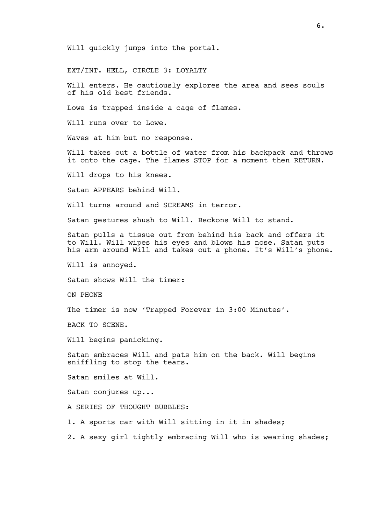Will quickly jumps into the portal.

EXT/INT. HELL, CIRCLE 3: LOYALTY

Will enters. He cautiously explores the area and sees souls of his old best friends.

Lowe is trapped inside a cage of flames.

Will runs over to Lowe.

Waves at him but no response.

Will takes out a bottle of water from his backpack and throws it onto the cage. The flames STOP for a moment then RETURN.

Will drops to his knees.

Satan APPEARS behind Will.

Will turns around and SCREAMS in terror.

Satan gestures shush to Will. Beckons Will to stand.

Satan pulls a tissue out from behind his back and offers it to Will. Will wipes his eyes and blows his nose. Satan puts his arm around Will and takes out a phone. It's Will's phone.

Will is annoyed.

Satan shows Will the timer:

ON PHONE

The timer is now 'Trapped Forever in 3:00 Minutes'.

BACK TO SCENE.

Will begins panicking.

Satan embraces Will and pats him on the back. Will begins sniffling to stop the tears.

Satan smiles at Will.

Satan conjures up...

A SERIES OF THOUGHT BUBBLES:

1. A sports car with Will sitting in it in shades;

2. A sexy girl tightly embracing Will who is wearing shades;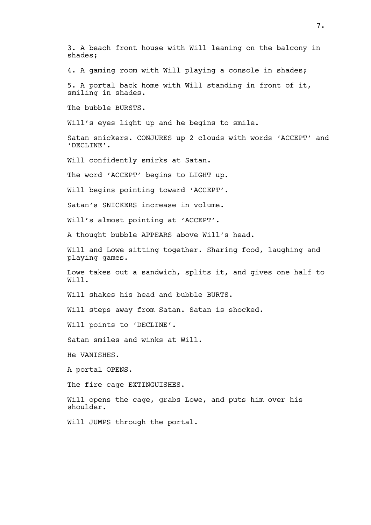3. A beach front house with Will leaning on the balcony in shades;

4. A gaming room with Will playing a console in shades;

5. A portal back home with Will standing in front of it, smiling in shades.

The bubble BURSTS.

Will's eyes light up and he begins to smile.

Satan snickers. CONJURES up 2 clouds with words 'ACCEPT' and 'DECLINE'.

Will confidently smirks at Satan.

The word 'ACCEPT' begins to LIGHT up.

Will begins pointing toward 'ACCEPT'.

Satan's SNICKERS increase in volume.

Will's almost pointing at 'ACCEPT'.

A thought bubble APPEARS above Will's head.

Will and Lowe sitting together. Sharing food, laughing and playing games.

Lowe takes out a sandwich, splits it, and gives one half to Will.

Will shakes his head and bubble BURTS.

Will steps away from Satan. Satan is shocked.

Will points to 'DECLINE'.

Satan smiles and winks at Will.

He VANISHES.

A portal OPENS.

The fire cage EXTINGUISHES.

Will opens the cage, grabs Lowe, and puts him over his shoulder.

Will JUMPS through the portal.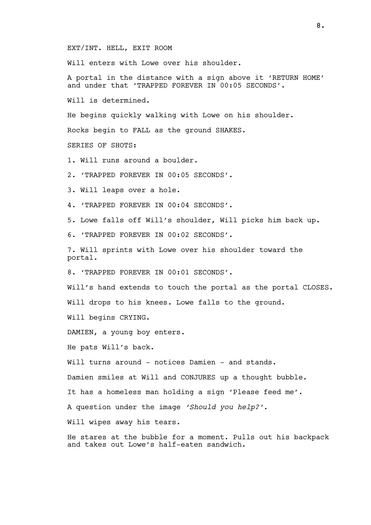EXT/INT. HELL, EXIT ROOM

Will enters with Lowe over his shoulder.

A portal in the distance with a sign above it 'RETURN HOME' and under that 'TRAPPED FOREVER IN 00:05 SECONDS'.

Will is determined.

He begins quickly walking with Lowe on his shoulder.

Rocks begin to FALL as the ground SHAKES.

SERIES OF SHOTS:

1. Will runs around a boulder.

2. 'TRAPPED FOREVER IN 00:05 SECONDS'.

3. Will leaps over a hole.

4. 'TRAPPED FOREVER IN 00:04 SECONDS'.

5. Lowe falls off Will's shoulder, Will picks him back up.

6. 'TRAPPED FOREVER IN 00:02 SECONDS'.

7. Will sprints with Lowe over his shoulder toward the portal.

8. 'TRAPPED FOREVER IN 00:01 SECONDS'.

Will's hand extends to touch the portal as the portal CLOSES.

Will drops to his knees. Lowe falls to the ground.

Will begins CRYING.

DAMIEN, a young boy enters.

He pats Will's back.

Will turns around - notices Damien - and stands.

Damien smiles at Will and CONJURES up a thought bubble.

It has a homeless man holding a sign 'Please feed me'.

A question under the image 'Should you help?'.

Will wipes away his tears.

He stares at the bubble for a moment. Pulls out his backpack and takes out Lowe's half-eaten sandwich.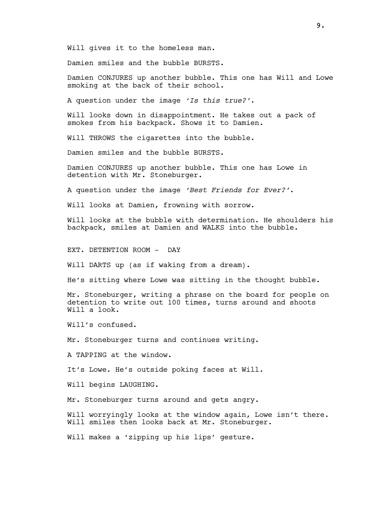Will gives it to the homeless man.

Damien smiles and the bubble BURSTS.

Damien CONJURES up another bubble. This one has Will and Lowe smoking at the back of their school.

A question under the image 'Is this true?'.

Will looks down in disappointment. He takes out a pack of smokes from his backpack. Shows it to Damien.

Will THROWS the cigarettes into the bubble.

Damien smiles and the bubble BURSTS.

Damien CONJURES up another bubble. This one has Lowe in detention with Mr. Stoneburger.

A question under the image 'Best Friends for Ever?'.

Will looks at Damien, frowning with sorrow.

Will looks at the bubble with determination. He shoulders his backpack, smiles at Damien and WALKS into the bubble.

EXT. DETENTION ROOM - DAY

Will DARTS up (as if waking from a dream).

He's sitting where Lowe was sitting in the thought bubble.

Mr. Stoneburger, writing a phrase on the board for people on detention to write out 100 times, turns around and shoots Will a look.

Will's confused.

Mr. Stoneburger turns and continues writing.

A TAPPING at the window.

It's Lowe. He's outside poking faces at Will.

Will begins LAUGHING.

Mr. Stoneburger turns around and gets angry.

Will worryingly looks at the window again, Lowe isn't there. Will smiles then looks back at Mr. Stoneburger.

Will makes a 'zipping up his lips' gesture.